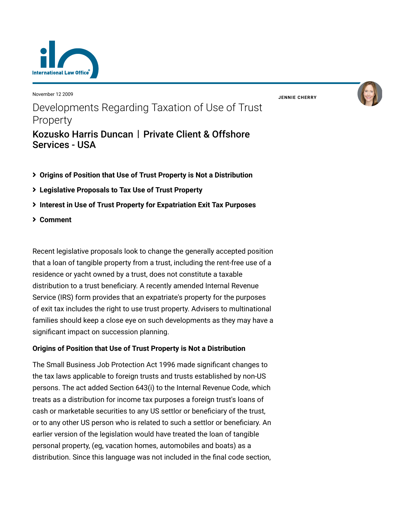

November 12 2009

**JENNIE [CHERRY](https://www.lexology.com/23364/author/Jennie_Cherry/)**



- **[Origins of Position that Use of Trust Property is Not a Distribution](#page-0-0)**
- **[Legislative Proposals to Tax Use of Trust Property](#page-1-0)**
- **[Interest in Use of Trust Property for Expatriation Exit Tax Purposes](#page-3-0)**
- **[Comment](#page-3-1)**

Recent legislative proposals look to change the generally accepted position that a loan of tangible property from a trust, including the rent-free use of a residence or yacht owned by a trust, does not constitute a taxable distribution to a trust beneficiary. A recently amended Internal Revenue Service (IRS) form provides that an expatriate's property for the purposes of exit tax includes the right to use trust property. Advisers to multinational families should keep a close eye on such developments as they may have a significant impact on succession planning.

# <span id="page-0-0"></span>**Origins of Position that Use of Trust Property is Not a Distribution**

The Small Business Job Protection Act 1996 made significant changes to the tax laws applicable to foreign trusts and trusts established by non-US persons. The act added Section 643(i) to the Internal Revenue Code, which treats as a distribution for income tax purposes a foreign trust's loans of cash or marketable securities to any US settlor or beneficiary of the trust, or to any other US person who is related to such a settlor or beneficiary. An earlier version of the legislation would have treated the loan of tangible personal property, (eg, vacation homes, automobiles and boats) as a distribution. Since this language was not included in the final code section,

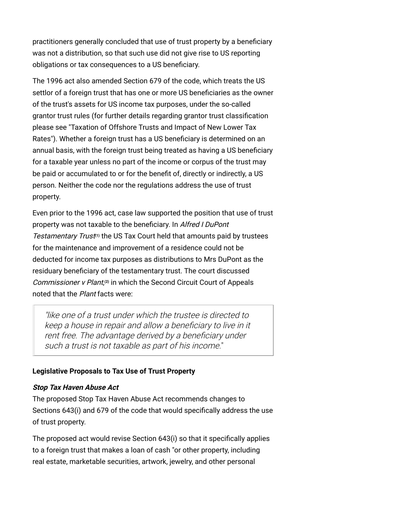practitioners generally concluded that use of trust property by a beneficiary was not a distribution, so that such use did not give rise to US reporting obligations or tax consequences to a US beneficiary.

The 1996 act also amended Section 679 of the code, which treats the US settlor of a foreign trust that has one or more US beneficiaries as the owner of the trust's assets for US income tax purposes, under the so-called grantor trust rules (for further details regarding grantor trust classification [please see "Taxation of Offshore Trusts and Impact of New Lower Tax](http://www.internationallawoffice.com/Newsletters/detail.aspx?g=fa09696c-86d8-4011-bfb3-ba66bf73c584) Rates"). Whether a foreign trust has a US beneficiary is determined on an annual basis, with the foreign trust being treated as having a US beneficiary for a taxable year unless no part of the income or corpus of the trust may be paid or accumulated to or for the benefit of, directly or indirectly, a US person. Neither the code nor the regulations address the use of trust property.

Even prior to the 1996 act, case law supported the position that use of trust property was not taxable to the beneficiary. In Alfred I DuPont Testamentary Trust<sup>11</sup> the US Tax Court held that amounts paid by trustees for the maintenance and improvement of a residence could not be deducted for income tax purposes as distributions to Mrs DuPont as the residuary beneficiary of the testamentary trust. The court discussed Commissioner v Plant, **[\(2\)](#page-4-1)** in which the Second Circuit Court of Appeals noted that the *Plant* facts were:

"like one of a trust under which the trustee is directed to keep a house in repair and allow a beneficiary to live in it rent free. The advantage derived by a beneficiary under such a trust is not taxable as part of his income."

# <span id="page-1-0"></span>**Legislative Proposals to Tax Use of Trust Property**

#### **Stop Tax Haven Abuse Act**

The proposed Stop Tax Haven Abuse Act recommends changes to Sections 643(i) and 679 of the code that would specifically address the use of trust property.

The proposed act would revise Section 643(i) so that it specifically applies to a foreign trust that makes a loan of cash "or other property, including real estate, marketable securities, artwork, jewelry, and other personal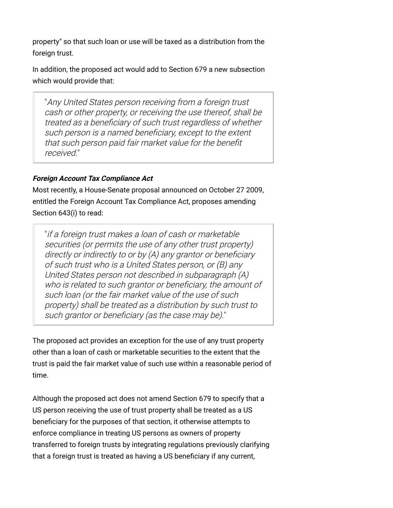property" so that such loan or use will be taxed as a distribution from the foreign trust.

In addition, the proposed act would add to Section 679 a new subsection which would provide that:

"Any United States person receiving from a foreign trust cash or other property, or receiving the use thereof, shall be treated as a beneficiary of such trust regardless of whether such person is a named beneficiary, except to the extent that such person paid fair market value for the benefit received."

### **Foreign Account Tax Compliance Act**

Most recently, a House-Senate proposal announced on October 27 2009, entitled the Foreign Account Tax Compliance Act, proposes amending Section 643(i) to read:

"if a foreign trust makes a loan of cash or marketable securities (or permits the use of any other trust property) directly or indirectly to or by (A) any grantor or beneficiary of such trust who is a United States person, or (B) any United States person not described in subparagraph (A) who is related to such grantor or beneficiary, the amount of such loan (or the fair market value of the use of such property) shall be treated as a distribution by such trust to such grantor or beneficiary (as the case may be)."

The proposed act provides an exception for the use of any trust property other than a loan of cash or marketable securities to the extent that the trust is paid the fair market value of such use within a reasonable period of time.

Although the proposed act does not amend Section 679 to specify that a US person receiving the use of trust property shall be treated as a US beneficiary for the purposes of that section, it otherwise attempts to enforce compliance in treating US persons as owners of property transferred to foreign trusts by integrating regulations previously clarifying that a foreign trust is treated as having a US beneficiary if any current,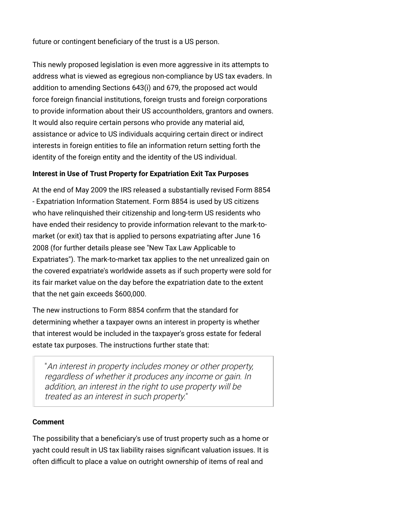future or contingent beneficiary of the trust is a US person.

This newly proposed legislation is even more aggressive in its attempts to address what is viewed as egregious non-compliance by US tax evaders. In addition to amending Sections 643(i) and 679, the proposed act would force foreign financial institutions, foreign trusts and foreign corporations to provide information about their US accountholders, grantors and owners. It would also require certain persons who provide any material aid, assistance or advice to US individuals acquiring certain direct or indirect interests in foreign entities to file an information return setting forth the identity of the foreign entity and the identity of the US individual.

### <span id="page-3-0"></span>**Interest in Use of Trust Property for Expatriation Exit Tax Purposes**

At the end of May 2009 the IRS released a substantially revised Form 8854 - Expatriation Information Statement. Form 8854 is used by US citizens who have relinquished their citizenship and long-term US residents who have ended their residency to provide information relevant to the mark-tomarket (or exit) tax that is applied to persons expatriating after June 16 [2008 \(for further details please see "New Tax Law Applicable to](http://www.internationallawoffice.com/Newsletters/detail.aspx?g=87c81007-0573-411e-adb1-3c46273c9ee4) Expatriates"). The mark-to-market tax applies to the net unrealized gain on the covered expatriate's worldwide assets as if such property were sold for its fair market value on the day before the expatriation date to the extent that the net gain exceeds \$600,000.

The new instructions to Form 8854 confirm that the standard for determining whether a taxpayer owns an interest in property is whether that interest would be included in the taxpayer's gross estate for federal estate tax purposes. The instructions further state that:

"An interest in property includes money or other property, regardless of whether it produces any income or gain. In addition, an interest in the right to use property will be treated as an interest in such property."

#### <span id="page-3-1"></span>**Comment**

The possibility that a beneficiary's use of trust property such as a home or yacht could result in US tax liability raises significant valuation issues. It is often difficult to place a value on outright ownership of items of real and